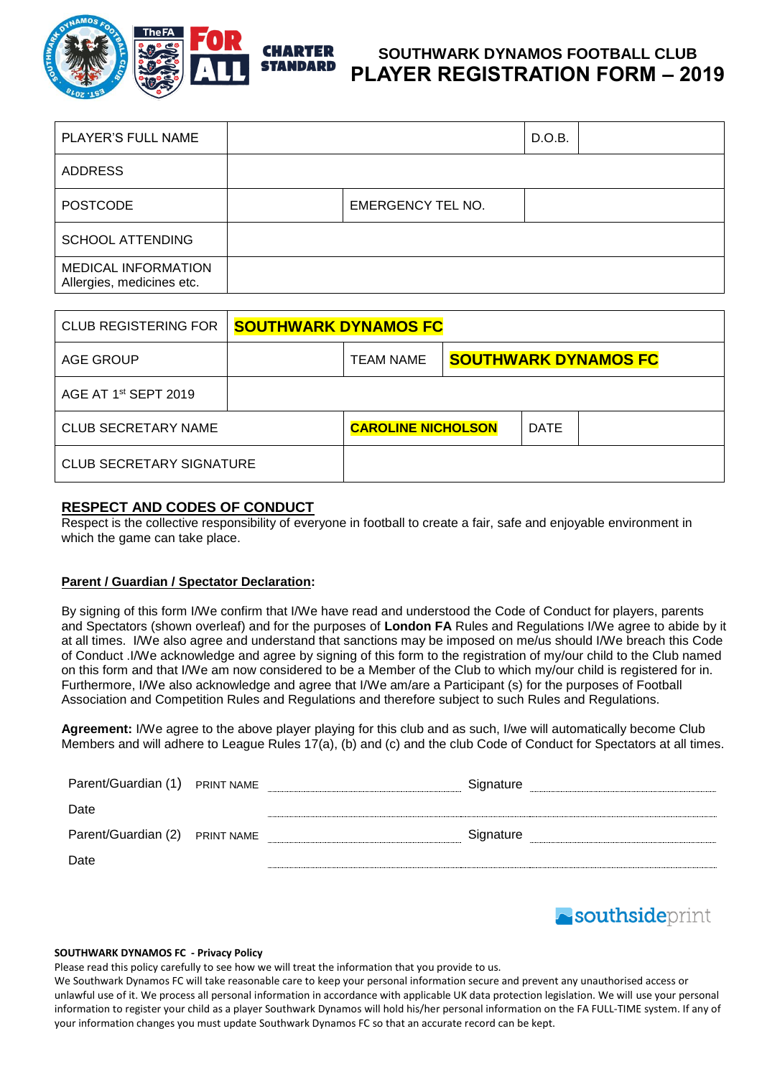

## **SOUTHWARK DYNAMOS FOOTBALL CLUB PLAYER REGISTRATION FORM – 2019**

| PLAYER'S FULL NAME                                      |                          | D.O.B. |  |
|---------------------------------------------------------|--------------------------|--------|--|
| <b>ADDRESS</b>                                          |                          |        |  |
| <b>POSTCODE</b>                                         | <b>EMERGENCY TEL NO.</b> |        |  |
| <b>SCHOOL ATTENDING</b>                                 |                          |        |  |
| <b>MEDICAL INFORMATION</b><br>Allergies, medicines etc. |                          |        |  |

| <b>CLUB REGISTERING FOR</b>      | <b>SOUTHWARK DYNAMOS FC</b> |                           |  |             |                             |
|----------------------------------|-----------------------------|---------------------------|--|-------------|-----------------------------|
| AGE GROUP                        |                             | <b>TEAM NAME</b>          |  |             | <b>SOUTHWARK DYNAMOS FC</b> |
| AGE AT 1 <sup>st</sup> SEPT 2019 |                             |                           |  |             |                             |
| <b>CLUB SECRETARY NAME</b>       |                             | <b>CAROLINE NICHOLSON</b> |  | <b>DATE</b> |                             |
| <b>CLUB SECRETARY SIGNATURE</b>  |                             |                           |  |             |                             |

### **RESPECT AND CODES OF CONDUCT**

Respect is the collective responsibility of everyone in football to create a fair, safe and enjoyable environment in which the game can take place.

#### **Parent / Guardian / Spectator Declaration:**

By signing of this form I/We confirm that I/We have read and understood the Code of Conduct for players, parents and Spectators (shown overleaf) and for the purposes of **London FA** Rules and Regulations I/We agree to abide by it at all times. I/We also agree and understand that sanctions may be imposed on me/us should I/We breach this Code of Conduct .I/We acknowledge and agree by signing of this form to the registration of my/our child to the Club named on this form and that I/We am now considered to be a Member of the Club to which my/our child is registered for in. Furthermore, I/We also acknowledge and agree that I/We am/are a Participant (s) for the purposes of Football Association and Competition Rules and Regulations and therefore subject to such Rules and Regulations.

**Agreement:** I/We agree to the above player playing for this club and as such, I/we will automatically become Club Members and will adhere to League Rules 17(a), (b) and (c) and the club Code of Conduct for Spectators at all times.

| Parent/Guardian (1) PRINT NAME | Signature |
|--------------------------------|-----------|
| Date                           |           |
| Parent/Guardian (2) PRINT NAME | Signature |
| Date                           |           |



#### **SOUTHWARK DYNAMOS FC - Privacy Policy**

Please read this policy carefully to see how we will treat the information that you provide to us.

We Southwark Dynamos FC will take reasonable care to keep your personal information secure and prevent any unauthorised access or unlawful use of it. We process all personal information in accordance with applicable UK data protection legislation. We will use your personal information to register your child as a player Southwark Dynamos will hold his/her personal information on the FA FULL-TIME system. If any of your information changes you must update Southwark Dynamos FC so that an accurate record can be kept.